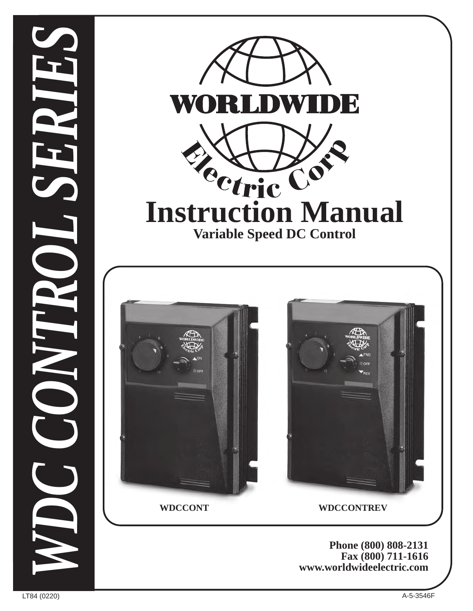





**Phone (800) 808-2131 Fax (800) 711-1616 www.worldwideelectric.com**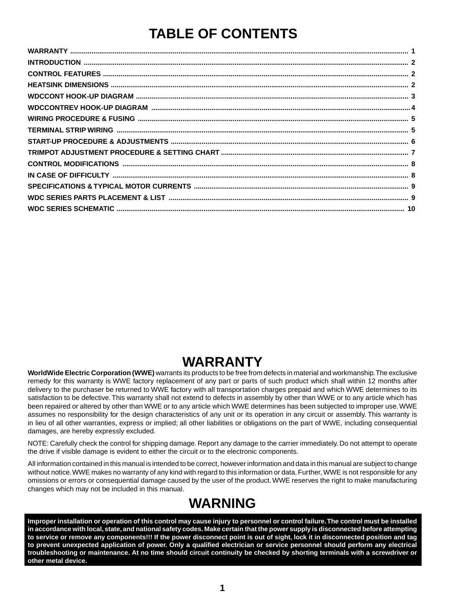# **TABLE OF CONTENTS**

### **WARRANTY**

**WorldWide Electric Corporation (WWE)** warrants its products to be free from defects in material and workmanship. The exclusive remedy for this warranty is WWE factory replacement of any part or parts of such product which shall within 12 months after delivery to the purchaser be returned to WWE factory with all transportation charges prepaid and which WWE determines to its satisfaction to be defective. This warranty shall not extend to defects in assembly by other than WWE or to any article which has been repaired or altered by other than WWE or to any article which WWE determines has been subjected to improper use. WWE assumes no responsibility for the design characteristics of any unit or its operation in any circuit or assembly. This warranty is in lieu of all other warranties, express or implied; all other liabilities or obligations on the part of WWE, including consequential damages, are hereby expressly excluded.

NOTE: Carefully check the control for shipping damage. Report any damage to the carrier immediately. Do not attempt to operate the drive if visible damage is evident to either the circuit or to the electronic components.

All information contained in this manual is intended to be correct, however information and data in this manual are subject to change without notice. WWE makes no warranty of any kind with regard to this information or data. Further, WWE is not responsible for any omissions or errors or consequential damage caused by the user of the product. WWE reserves the right to make manufacturing changes which may not be included in this manual.

### **WARNING**

**Improper installation or operation of this control may cause injury to personnel or control failure. The control must be installed in accordance with local, state, and national safety codes. Make certain that the power supply is disconnected before attempting to service or remove any components!!! If the power disconnect point is out of sight, lock it in disconnected position and tag to prevent unexpected application of power. Only a qualified electrician or service personnel should perform any electrical troubleshooting or maintenance. At no time should circuit continuity be checked by shorting terminals with a screwdriver or other metal device.**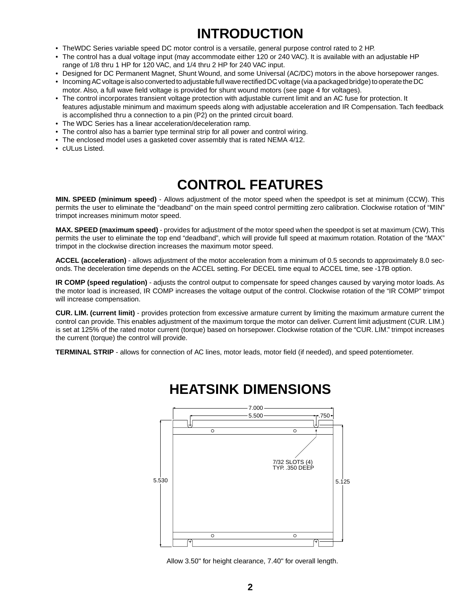# **INTRODUCTION**

- TheWDC Series variable speed DC motor control is a versatile, general purpose control rated to 2 HP.
- The control has a dual voltage input (may accommodate either 120 or 240 VAC). It is available with an adjustable HP range of 1/8 thru 1 HP for 120 VAC, and 1/4 thru 2 HP for 240 VAC input.
- Designed for DC Permanent Magnet, Shunt Wound, and some Universal (AC/DC) motors in the above horsepower ranges.
- Incoming AC voltage is also converted to adjustable full wave rectified DC voltage (via a packaged bridge) to operate the DC motor. Also, a full wave field voltage is provided for shunt wound motors (see page 4 for voltages).
- The control incorporates transient voltage protection with adjustable current limit and an AC fuse for protection. It features adjustable minimum and maximum speeds along with adjustable acceleration and IR Compensation. Tach feedback is accomplished thru a connection to a pin (P2) on the printed circuit board.
- The WDC Series has a linear acceleration/deceleration ramp.
- The control also has a barrier type terminal strip for all power and control wiring.
- The enclosed model uses a gasketed cover assembly that is rated NEMA 4/12.
- cULus Listed.

# **CONTROL FEATURES**

**MIN. SPEED (minimum speed)** - Allows adjustment of the motor speed when the speedpot is set at minimum (CCW). This permits the user to eliminate the "deadband" on the main speed control permitting zero calibration. Clockwise rotation of "MIN" trimpot increases minimum motor speed.

**MAX. SPEED (maximum speed)** - provides for adjustment of the motor speed when the speedpot is set at maximum (CW). This permits the user to eliminate the top end "deadband", which will provide full speed at maximum rotation. Rotation of the "MAX" trimpot in the clockwise direction increases the maximum motor speed.

**ACCEL (acceleration)** - allows adjustment of the motor acceleration from a minimum of 0.5 seconds to approximately 8.0 seconds. The deceleration time depends on the ACCEL setting. For DECEL time equal to ACCEL time, see -17B option.

**IR COMP (speed regulation)** - adjusts the control output to compensate for speed changes caused by varying motor loads. As the motor load is increased, IR COMP increases the voltage output of the control. Clockwise rotation of the "IR COMP" trimpot will increase compensation.

**CUR. LIM. (current limit)** - provides protection from excessive armature current by limiting the maximum armature current the control can provide. This enables adjustment of the maximum torque the motor can deliver. Current limit adjustment (CUR. LIM.) is set at 125% of the rated motor current (torque) based on horsepower. Clockwise rotation of the "CUR. LIM." trimpot increases the current (torque) the control will provide.

**TERMINAL STRIP** - allows for connection of AC lines, motor leads, motor field (if needed), and speed potentiometer.



### **HEATSINK DIMENSIONS**

Allow 3.50" for height clearance, 7.40" for overall length.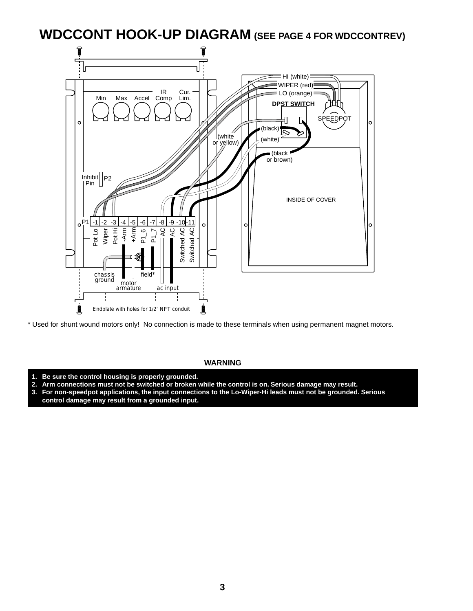### **WDCCONT HOOK-UP DIAGRAM (SEE PAGE 4 FOR WDCCONTREV)**



\* Used for shunt wound motors only! No connection is made to these terminals when using permanent magnet motors.

#### **WARNING**

- **1. Be sure the control housing is properly grounded.**
- **2. Arm connections must not be switched or broken while the control is on. Serious damage may result.**
- **3. For non-speedpot applications, the input connections to the Lo-Wiper-Hi leads must not be grounded. Serious control damage may result from a grounded input.**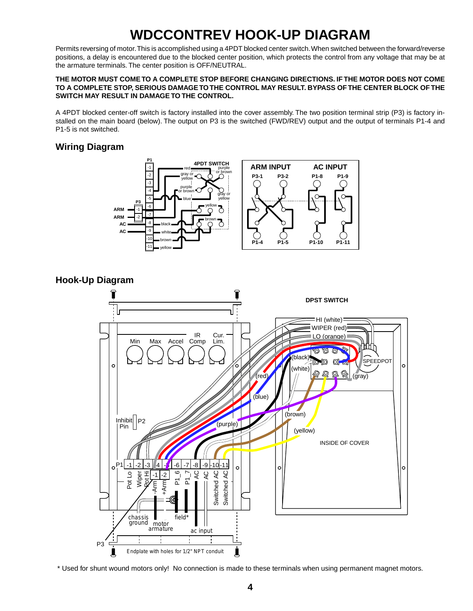# **WDCCONTREV HOOK-UP DIAGRAM**

Permits reversing of motor. This is accomplished using a 4PDT blocked center switch. When switched between the forward/reverse positions, a delay is encountered due to the blocked center position, which protects the control from any voltage that may be at the armature terminals. The center position is OFF/NEUTRAL.

#### **THE MOTOR MUST COME TO A COMPLETE STOP BEFORE CHANGING DIRECTIONS. IF THE MOTOR DOES NOT COME TO A COMPLETE STOP, SERIOUS DAMAGE TO THE CONTROL MAY RESULT. BYPASS OF THE CENTER BLOCK OF THE SWITCH MAY RESULT IN DAMAGE TO THE CONTROL.**

A 4PDT blocked center-off switch is factory installed into the cover assembly. The two position terminal strip (P3) is factory installed on the main board (below). The output on P3 is the switched (FWD/REV) output and the output of terminals P1-4 and P1-5 is not switched.

### **Wiring Diagram**





\* Used for shunt wound motors only! No connection is made to these terminals when using permanent magnet motors.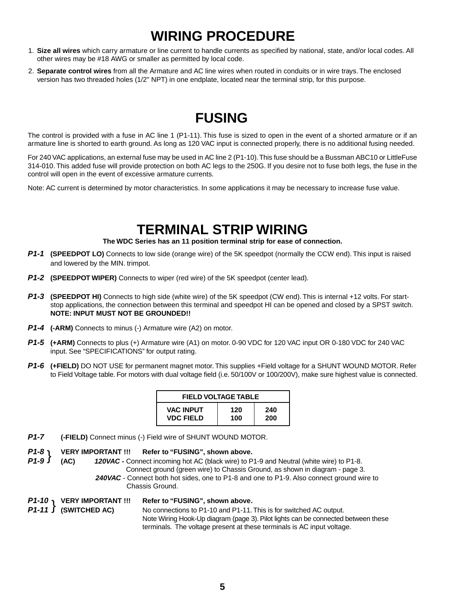# **WIRING PROCEDURE**

- 1. **Size all wires** which carry armature or line current to handle currents as specified by national, state, and/or local codes. All other wires may be #18 AWG or smaller as permitted by local code.
- 2. **Separate control wires** from all the Armature and AC line wires when routed in conduits or in wire trays. The enclosed version has two threaded holes (1/2" NPT) in one endplate, located near the terminal strip, for this purpose.

# **FUSING**

The control is provided with a fuse in AC line 1 (P1-11). This fuse is sized to open in the event of a shorted armature or if an armature line is shorted to earth ground. As long as 120 VAC input is connected properly, there is no additional fusing needed.

For 240 VAC applications, an external fuse may be used in AC line 2 (P1-10). This fuse should be a Bussman ABC10 or LittleFuse 314-010. This added fuse will provide protection on both AC legs to the 250G. If you desire not to fuse both legs, the fuse in the control will open in the event of excessive armature currents.

Note: AC current is determined by motor characteristics. In some applications it may be necessary to increase fuse value.

### **TERMINAL STRIP WIRING**

**The WDC Series has an 11 position terminal strip for ease of connection.**

- *P1-1* **(SPEEDPOT LO)** Connects to low side (orange wire) of the 5K speedpot (normally the CCW end). This input is raised and lowered by the MIN. trimpot.
- *P1-2* **(SPEEDPOT WIPER)** Connects to wiper (red wire) of the 5K speedpot (center lead).
- *P1-3* **(SPEEDPOT HI)** Connects to high side (white wire) of the 5K speedpot (CW end). This is internal +12 volts. For startstop applications, the connection between this terminal and speedpot HI can be opened and closed by a SPST switch. **NOTE: INPUT MUST NOT BE GROUNDED!!**
- *P1-4* (-ARM) Connects to minus (-) Armature wire (A2) on motor.
- *P1-5* **(+ARM)** Connects to plus (+) Armature wire (A1) on motor. 0-90 VDC for 120 VAC input OR 0-180 VDC for 240 VAC input. See "SPECIFICATIONS" for output rating.
- *P1-6* **(+FIELD)** DO NOT USE for permanent magnet motor. This supplies +Field voltage for a SHUNT WOUND MOTOR. Refer to Field Voltage table. For motors with dual voltage field (i.e. 50/100V or 100/200V), make sure highest value is connected.

| <b>FIELD VOLTAGE TABLE</b> |     |     |  |  |
|----------------------------|-----|-----|--|--|
| <b>VAC INPUT</b>           | 120 | 240 |  |  |
| <b>VDC FIELD</b>           | 100 | 200 |  |  |

*P1-7* **(-FIELD)** Connect minus (-) Field wire of SHUNT WOUND MOTOR.

#### *P1-8* **VERY IMPORTANT !!! Refer to "FUSING", shown above.**

- *P1-9* **(AC)** *120VAC*Connect incoming hot AC (black wire) to P1-9 and Neutral (white wire) to P1-8. Connect ground (green wire) to Chassis Ground, as shown in diagram - page 3. p1-9 J
	- *240VAC* Connect both hot sides, one to P1-8 and one to P1-9. Also connect ground wire to Chassis Ground.

| P1-10 \ VERY IMPORTANT !!!   | Refer to "FUSING", shown above.                                                   |  |  |
|------------------------------|-----------------------------------------------------------------------------------|--|--|
| $P1-11$ $\int$ (SWITCHED AC) | No connections to P1-10 and P1-11. This is for switched AC output.                |  |  |
|                              | Note Wiring Hook-Up diagram (page 3). Pilot lights can be connected between these |  |  |
|                              | terminals. The voltage present at these terminals is AC input voltage.            |  |  |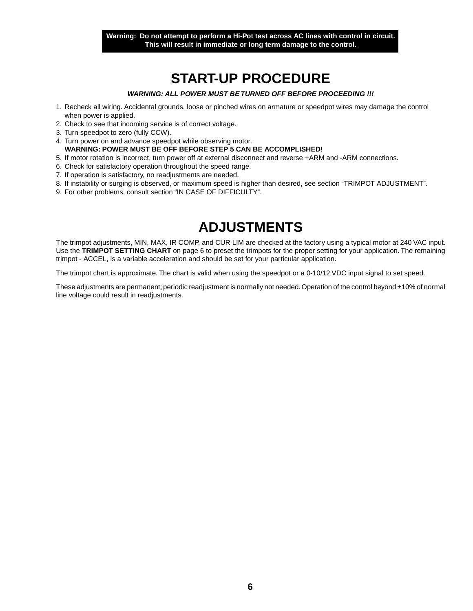

### **START-UP PROCEDURE**

*WARNING: ALL POWER MUST BE TURNED OFF BEFORE PROCEEDING !!!*

- 1. Recheck all wiring. Accidental grounds, loose or pinched wires on armature or speedpot wires may damage the control when power is applied.
- 2. Check to see that incoming service is of correct voltage.
- 3. Turn speedpot to zero (fully CCW).
- 4. Turn power on and advance speedpot while observing motor.
- **WARNING: POWER MUST BE OFF BEFORE STEP 5 CAN BE ACCOMPLISHED!**
- 5. If motor rotation is incorrect, turn power off at external disconnect and reverse +ARM and -ARM connections.
- 6. Check for satisfactory operation throughout the speed range.
- 7. If operation is satisfactory, no readjustments are needed.
- 8. If instability or surging is observed, or maximum speed is higher than desired, see section "TRIMPOT ADJUSTMENT".
- 9. For other problems, consult section "IN CASE OF DIFFICULTY".

## **ADJUSTMENTS**

The trimpot adjustments, MIN, MAX, IR COMP, and CUR LIM are checked at the factory using a typical motor at 240 VAC input. Use the **TRIMPOT SETTING CHART** on page 6 to preset the trimpots for the proper setting for your application. The remaining trimpot - ACCEL, is a variable acceleration and should be set for your particular application.

The trimpot chart is approximate. The chart is valid when using the speedpot or a 0-10/12 VDC input signal to set speed.

These adjustments are permanent; periodic readjustment is normally not needed. Operation of the control beyond ±10% of normal line voltage could result in readjustments.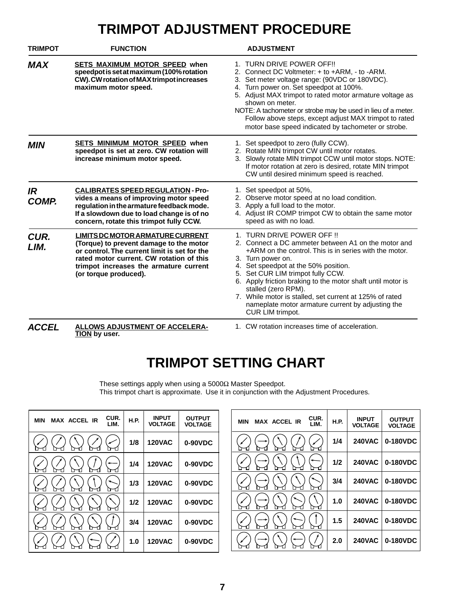# **TRIMPOT ADJUSTMENT PROCEDURE**

| <b>TRIMPOT</b>     | <b>FUNCTION</b>                                                                                                                                                                                                                                   | <b>ADJUSTMENT</b>                                                                                                                                                                                                                                                                                                                                                                                                                                                          |
|--------------------|---------------------------------------------------------------------------------------------------------------------------------------------------------------------------------------------------------------------------------------------------|----------------------------------------------------------------------------------------------------------------------------------------------------------------------------------------------------------------------------------------------------------------------------------------------------------------------------------------------------------------------------------------------------------------------------------------------------------------------------|
| <b>MAX</b>         | <b>SETS MAXIMUM MOTOR SPEED when</b><br>speedpot is set at maximum (100% rotation<br>CW). CW rotation of MAX trimpot increases<br>maximum motor speed.                                                                                            | 1. TURN DRIVE POWER OFF!!<br>2. Connect DC Voltmeter: + to +ARM, - to -ARM.<br>3. Set meter voltage range: (90VDC or 180VDC).<br>4. Turn power on. Set speedpot at 100%.<br>5. Adjust MAX trimpot to rated motor armature voltage as<br>shown on meter.<br>NOTE: A tachometer or strobe may be used in lieu of a meter.<br>Follow above steps, except adjust MAX trimpot to rated<br>motor base speed indicated by tachometer or strobe.                                   |
| <b>MIN</b>         | <b>SETS MINIMUM MOTOR SPEED when</b><br>speedpot is set at zero. CW rotation will<br>increase minimum motor speed.                                                                                                                                | 1. Set speedpot to zero (fully CCW).<br>2. Rotate MIN trimpot CW until motor rotates.<br>3. Slowly rotate MIN trimpot CCW until motor stops. NOTE:<br>If motor rotation at zero is desired, rotate MIN trimpot<br>CW until desired minimum speed is reached.                                                                                                                                                                                                               |
| <b>IR</b><br>COMP. | <b>CALIBRATES SPEED REGULATION - Pro-</b><br>vides a means of improving motor speed<br>regulation in the armature feedback mode.<br>If a slowdown due to load change is of no<br>concern, rotate this trimpot fully CCW.                          | 1. Set speedpot at 50%,<br>2. Observe motor speed at no load condition.<br>3. Apply a full load to the motor.<br>4. Adjust IR COMP trimpot CW to obtain the same motor<br>speed as with no load.                                                                                                                                                                                                                                                                           |
| CUR.<br>LIM.       | <b>LIMITS DC MOTOR ARMATURE CURRENT</b><br>(Torque) to prevent damage to the motor<br>or control. The current limit is set for the<br>rated motor current. CW rotation of this<br>trimpot increases the armature current<br>(or torque produced). | 1. TURN DRIVE POWER OFF !!<br>2. Connect a DC ammeter between A1 on the motor and<br>+ARM on the control. This is in series with the motor.<br>3. Turn power on.<br>4. Set speedpot at the 50% position.<br>Set CUR LIM trimpot fully CCW.<br>5.<br>6. Apply friction braking to the motor shaft until motor is<br>stalled (zero RPM).<br>7. While motor is stalled, set current at 125% of rated<br>nameplate motor armature current by adjusting the<br>CUR LIM trimpot. |
| <b>ACCEL</b>       | <b>ALLOWS ADJUSTMENT OF ACCELERA-</b><br>TION by user.                                                                                                                                                                                            | 1. CW rotation increases time of acceleration.                                                                                                                                                                                                                                                                                                                                                                                                                             |

# **TRIMPOT SETTING CHART**

These settings apply when using a  $5000\Omega$  Master Speedpot. This trimpot chart is approximate. Use it in conjunction with the Adjustment Procedures.

| CUR.<br><b>MAX ACCEL IR</b><br><b>MIN</b><br>LIM. | <b>H.P.</b> | <b>INPUT</b><br><b>VOLTAGE</b> | <b>OUTPUT</b><br><b>VOLTAGE</b> |
|---------------------------------------------------|-------------|--------------------------------|---------------------------------|
|                                                   | 1/8         | <b>120VAC</b>                  | 0-90VDC                         |
|                                                   | 1/4         | <b>120VAC</b>                  | 0-90VDC                         |
|                                                   | 1/3         | <b>120VAC</b>                  | 0-90VDC                         |
|                                                   | 1/2         | <b>120VAC</b>                  | 0-90VDC                         |
|                                                   | 3/4         | <b>120VAC</b>                  | 0-90VDC                         |
|                                                   | 1.0         | <b>120VAC</b>                  | 0-90VDC                         |

| CUR.<br>LIM. | <b>MAX ACCEL IR</b><br><b>MIN</b> | <b>INPUT</b><br><b>H.P.</b><br><b>VOLTAGE</b> | <b>OUTPUT</b><br><b>VOLTAGE</b> |
|--------------|-----------------------------------|-----------------------------------------------|---------------------------------|
|              |                                   | 1/4<br><b>240VAC</b>                          | 0-180VDC                        |
|              |                                   | 1/2<br><b>240VAC</b>                          | 0-180VDC                        |
|              |                                   | <b>240VAC</b><br>3/4                          | 0-180VDC                        |
|              |                                   | 1.0<br><b>240VAC</b>                          | 0-180VDC                        |
|              |                                   | <b>240VAC</b><br>1.5                          | 0-180VDC                        |
|              |                                   | 2.0<br><b>240VAC</b>                          | $ 0-180VDC$                     |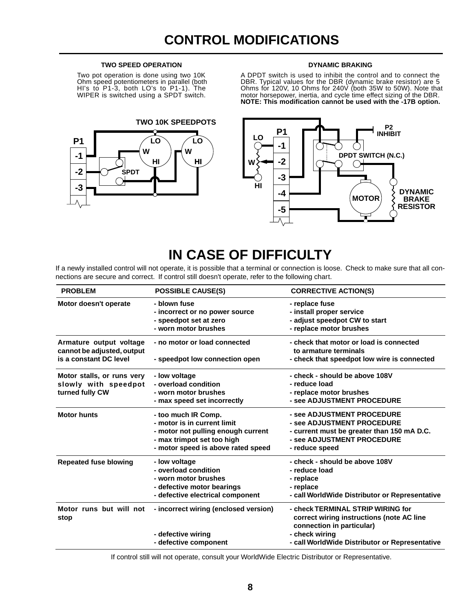#### **TWO SPEED OPERATION**

Two pot operation is done using two 10K Ohm speed potentiometers in parallel (both HI's to P1-3, both LO's to P1-1). The WIPER is switched using a SPDT switch.



#### **DYNAMIC BRAKING**

A DPDT switch is used to inhibit the control and to connect the DBR. Typical values for the DBR (dynamic brake resistor) are 5 Ohms for 120V, 10 Ohms for 240V (both 35W to 50W). Note that motor horsepower, inertia, and cycle time effect sizing of the DBR. **NOTE: This modification cannot be used with the -17B option.**



### **IN CASE OF DIFFICULTY**

If a newly installed control will not operate, it is possible that a terminal or connection is loose. Check to make sure that all connections are secure and correct. If control still doesn't operate, refer to the following chart.

| <b>PROBLEM</b>                                                                  | <b>POSSIBLE CAUSE(S)</b>                                                                                                                                     | <b>CORRECTIVE ACTION(S)</b>                                                                                                                                                     |
|---------------------------------------------------------------------------------|--------------------------------------------------------------------------------------------------------------------------------------------------------------|---------------------------------------------------------------------------------------------------------------------------------------------------------------------------------|
| Motor doesn't operate                                                           | - blown fuse<br>- incorrect or no power source<br>- speedpot set at zero<br>- worn motor brushes                                                             | - replace fuse<br>- install proper service<br>- adjust speedpot CW to start<br>- replace motor brushes                                                                          |
| Armature output voltage<br>cannot be adjusted, output<br>is a constant DC level | - no motor or load connected<br>- speedpot low connection open                                                                                               | - check that motor or load is connected<br>to armature terminals<br>- check that speedpot low wire is connected                                                                 |
| Motor stalls, or runs very<br>slowly with speedpot<br>turned fully CW           | - low voltage<br>- overload condition<br>- worn motor brushes<br>- max speed set incorrectly                                                                 | - check - should be above 108V<br>- reduce load<br>- replace motor brushes<br>- see ADJUSTMENT PROCEDURE                                                                        |
| <b>Motor hunts</b>                                                              | - too much IR Comp.<br>- motor is in current limit<br>- motor not pulling enough current<br>- max trimpot set too high<br>- motor speed is above rated speed | - see ADJUSTMENT PROCEDURE<br>- see ADJUSTMENT PROCEDURE<br>- current must be greater than 150 mA D.C.<br>- see ADJUSTMENT PROCEDURE<br>- reduce speed                          |
| <b>Repeated fuse blowing</b>                                                    | - low voltage<br>- overload condition<br>- worn motor brushes<br>- defective motor bearings<br>- defective electrical component                              | - check - should be above 108V<br>- reduce load<br>- replace<br>- replace<br>- call WorldWide Distributor or Representative                                                     |
| Motor runs but will not<br>stop                                                 | - incorrect wiring (enclosed version)<br>- defective wiring<br>- defective component                                                                         | - check TERMINAL STRIP WIRING for<br>correct wiring instructions (note AC line<br>connection in particular)<br>- check wiring<br>- call WorldWide Distributor or Representative |

If control still will not operate, consult your WorldWide Electric Distributor or Representative.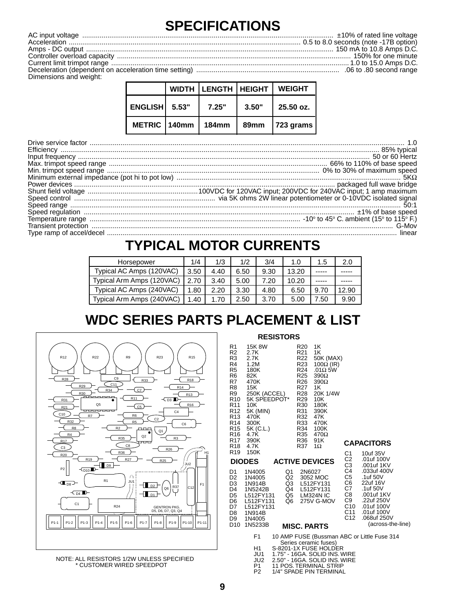# **SPECIFICATIONS**

AC input voltage .................................................................................................................................. ±10% of rated line voltage Acceleration ........................................................................................................................ 0.5 to 8.0 seconds (note -17B option) Amps - DC output ................................................................................................................................ 150 mA to 10.8 Amps D.C. Controller overload capacity ......................................................................................................................... 150% for one minute Current limit trimpot range ........................................................................................................................... 1.0 to 15.0 Amps D.C. Deceleration (dependent on acceleration time setting) .......................................................................... .06 to .80 second range Dimensions and weight:

|               | WIDTH   LENGTH   HEIGHT |       | <b>WEIGHT</b> |
|---------------|-------------------------|-------|---------------|
| ENGLISH 5.53" | 7.25"                   | 3.50" | 25.50 oz.     |
| METRIC 1140mm | 184mm                   | 89mm  | 723 grams     |

| Temperature range <i>Communical Communication</i> Communication and the Cambient (15° to 115° F.) |
|---------------------------------------------------------------------------------------------------|
|                                                                                                   |
|                                                                                                   |

## **TYPICAL MOTOR CURRENTS**

| Horsepower                | 1/4  | 1/3  | 1/2  | 3/4  | 1.0   | 1.5  | 2.0   |
|---------------------------|------|------|------|------|-------|------|-------|
| Typical AC Amps (120VAC)  | 3.50 | 4.40 | 6.50 | 9.30 | 13.20 |      |       |
| Typical Arm Amps (120VAC) | 2.70 | 3.40 | 5.00 | 7.20 | 10.20 |      |       |
| Typical AC Amps (240VAC)  | .80  | 2.20 | 3.30 | 4.80 | 6.50  | 9.70 | 12.90 |
| Typical Arm Amps (240VAC) | 1.40 | 1.70 | 2.50 | 3.70 | 5.00  | 7.50 | 9.90  |

# **WDC SERIES PARTS PLACEMENT & LIST**

**RESISTORS**



NOTE: ALL RESISTORS 1/2W UNLESS SPECIFIED \* CUSTOMER WIRED SPEEDPOT

|                                                                                                                                                                                                                                                                                                              |                                                                                                                                                                              | RESISTURS                        |                                                                                                                                        |                                                                                                                                                                                              |                                                                               |                                                                                                                                               |
|--------------------------------------------------------------------------------------------------------------------------------------------------------------------------------------------------------------------------------------------------------------------------------------------------------------|------------------------------------------------------------------------------------------------------------------------------------------------------------------------------|----------------------------------|----------------------------------------------------------------------------------------------------------------------------------------|----------------------------------------------------------------------------------------------------------------------------------------------------------------------------------------------|-------------------------------------------------------------------------------|-----------------------------------------------------------------------------------------------------------------------------------------------|
| R <sub>1</sub><br>R <sub>2</sub><br>R3<br>R4<br>R <sub>5</sub><br>R <sub>6</sub><br>R7<br>R <sub>8</sub><br>R9<br>R <sub>10</sub><br>R <sub>11</sub><br>R <sub>12</sub><br>R <sub>13</sub><br>R <sub>14</sub><br>R <sub>15</sub><br>R <sub>16</sub><br>R <sub>17</sub><br>R <sub>18</sub><br>R <sub>19</sub> | 15K 8W<br>2.7K<br>2.7K<br>1.2M<br>180K<br>82K<br>470K<br>15K<br>250K (ACCEL)<br>5K SPEEDPOT*<br>10K<br>5K (MIN)<br>470K<br>300K<br>5K (C.L.)<br>4.7K<br>390K<br>4.7K<br>150K |                                  | R <sub>20</sub><br>R21<br>R22<br>R23<br>R24<br>R25<br>R26<br>R27<br>R28<br>R29<br>R30<br>R31<br>R32<br>R33<br>R34<br>R35<br>R36<br>R37 | 1K<br>1K<br>50K (MAX)<br>$100\Omega$ (IR)<br>$.01\Omega$ 5W<br>$390\Omega$<br>$390\Omega$<br>1K<br>20K 1/4W<br>10K<br>180K<br>390K<br>47K<br>470K<br>100K<br>$470\Omega$<br>91K<br>$1\Omega$ | C1                                                                            | <b>CAPACITORS</b><br>10uf 35V                                                                                                                 |
|                                                                                                                                                                                                                                                                                                              | <b>DIODES</b>                                                                                                                                                                |                                  |                                                                                                                                        | <b>ACTIVE DEVICES</b>                                                                                                                                                                        | C <sub>2</sub><br>C <sub>3</sub>                                              | .01 uf 100V<br>.001uf 1KV                                                                                                                     |
| D1<br>D <sub>2</sub><br>D3<br>D4<br>D <sub>5</sub><br>D <sub>6</sub><br>D7<br>D <sub>8</sub><br>D9<br>D <sub>10</sub>                                                                                                                                                                                        | 1N4005<br>1N4005<br>1N914B<br>1N5242B<br>L512FY131<br>L512FY131<br>L512FY131<br>1N914B<br>1N4005<br>1N5233B                                                                  | Q1<br>Q2<br>Q3<br>Q4<br>Q5<br>Q6 | 2N6027                                                                                                                                 | 3052 MOC<br>L512FY131<br>L512FY131<br><b>LM324N IC</b><br>275V G-MOV<br><b>MISC. PARTS</b>                                                                                                   | C4<br>C5<br>C6<br>C7<br>C8<br>C9<br>C <sub>10</sub><br>C11<br>C <sub>12</sub> | .033uf 400V<br>.1uf 50V<br>22uf 16V<br>.1uf 50V<br>.001uf 1KV<br>.22uf 250V<br>.01 uf 100V<br>.01 uf 100V<br>.068uf 250V<br>(across-the-line) |
|                                                                                                                                                                                                                                                                                                              |                                                                                                                                                                              |                                  |                                                                                                                                        |                                                                                                                                                                                              |                                                                               |                                                                                                                                               |

F1 10 AMP FUSE (Bussman ABC or Little Fuse 314

- H1 Series ceramic fuses) S-8201-1X FUSE HOLDER
- JU1 1.75" - 16GA. SOLID INS. WIRE 2.50" - 16GA. SOLID INS. WIRE 11 POS. TERMINAL STRIP
- JU2
- P1 P2 1/4" SPADE PIN TERMINAL
-